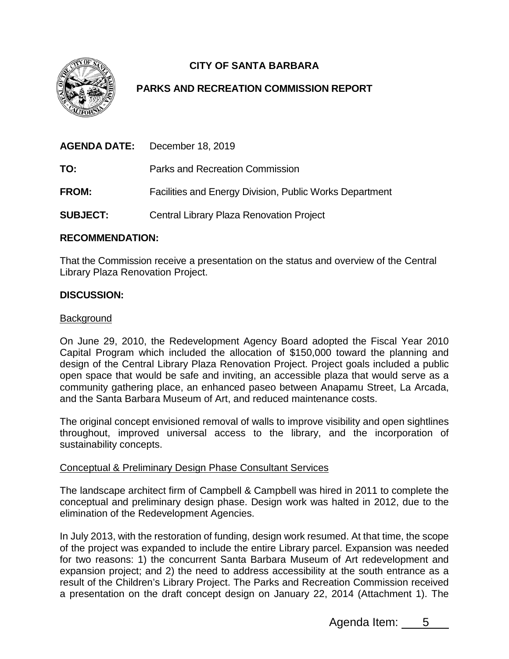

# **CITY OF SANTA BARBARA**

## **PARKS AND RECREATION COMMISSION REPORT**

|                 | <b>AGENDA DATE:</b> December 18, 2019                          |
|-----------------|----------------------------------------------------------------|
| TO:             | Parks and Recreation Commission                                |
| <b>FROM:</b>    | <b>Facilities and Energy Division, Public Works Department</b> |
| <b>SUBJECT:</b> | Central Library Plaza Renovation Project                       |

### **RECOMMENDATION:**

That the Commission receive a presentation on the status and overview of the Central Library Plaza Renovation Project.

## **DISCUSSION:**

#### Background

On June 29, 2010, the Redevelopment Agency Board adopted the Fiscal Year 2010 Capital Program which included the allocation of \$150,000 toward the planning and design of the Central Library Plaza Renovation Project. Project goals included a public open space that would be safe and inviting, an accessible plaza that would serve as a community gathering place, an enhanced paseo between Anapamu Street, La Arcada, and the Santa Barbara Museum of Art, and reduced maintenance costs.

The original concept envisioned removal of walls to improve visibility and open sightlines throughout, improved universal access to the library, and the incorporation of sustainability concepts.

## Conceptual & Preliminary Design Phase Consultant Services

The landscape architect firm of Campbell & Campbell was hired in 2011 to complete the conceptual and preliminary design phase. Design work was halted in 2012, due to the elimination of the Redevelopment Agencies.

In July 2013, with the restoration of funding, design work resumed. At that time, the scope of the project was expanded to include the entire Library parcel. Expansion was needed for two reasons: 1) the concurrent Santa Barbara Museum of Art redevelopment and expansion project; and 2) the need to address accessibility at the south entrance as a result of the Children's Library Project. The Parks and Recreation Commission received a presentation on the draft concept design on January 22, 2014 (Attachment 1). The

Agenda Item: 5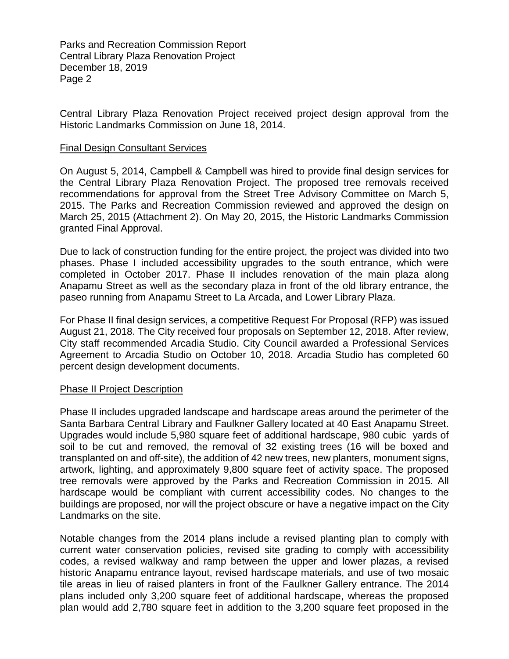Parks and Recreation Commission Report Central Library Plaza Renovation Project December 18, 2019 Page 2

Central Library Plaza Renovation Project received project design approval from the Historic Landmarks Commission on June 18, 2014.

#### Final Design Consultant Services

On August 5, 2014, Campbell & Campbell was hired to provide final design services for the Central Library Plaza Renovation Project. The proposed tree removals received recommendations for approval from the Street Tree Advisory Committee on March 5, 2015. The Parks and Recreation Commission reviewed and approved the design on March 25, 2015 (Attachment 2). On May 20, 2015, the Historic Landmarks Commission granted Final Approval.

Due to lack of construction funding for the entire project, the project was divided into two phases. Phase I included accessibility upgrades to the south entrance, which were completed in October 2017. Phase II includes renovation of the main plaza along Anapamu Street as well as the secondary plaza in front of the old library entrance, the paseo running from Anapamu Street to La Arcada, and Lower Library Plaza.

For Phase II final design services, a competitive Request For Proposal (RFP) was issued August 21, 2018. The City received four proposals on September 12, 2018. After review, City staff recommended Arcadia Studio. City Council awarded a Professional Services Agreement to Arcadia Studio on October 10, 2018. Arcadia Studio has completed 60 percent design development documents.

#### Phase II Project Description

Phase II includes upgraded landscape and hardscape areas around the perimeter of the Santa Barbara Central Library and Faulkner Gallery located at 40 East Anapamu Street. Upgrades would include 5,980 square feet of additional hardscape, 980 cubic yards of soil to be cut and removed, the removal of 32 existing trees (16 will be boxed and transplanted on and off-site), the addition of 42 new trees, new planters, monument signs, artwork, lighting, and approximately 9,800 square feet of activity space. The proposed tree removals were approved by the Parks and Recreation Commission in 2015. All hardscape would be compliant with current accessibility codes. No changes to the buildings are proposed, nor will the project obscure or have a negative impact on the City Landmarks on the site.

Notable changes from the 2014 plans include a revised planting plan to comply with current water conservation policies, revised site grading to comply with accessibility codes, a revised walkway and ramp between the upper and lower plazas, a revised historic Anapamu entrance layout, revised hardscape materials, and use of two mosaic tile areas in lieu of raised planters in front of the Faulkner Gallery entrance. The 2014 plans included only 3,200 square feet of additional hardscape, whereas the proposed plan would add 2,780 square feet in addition to the 3,200 square feet proposed in the